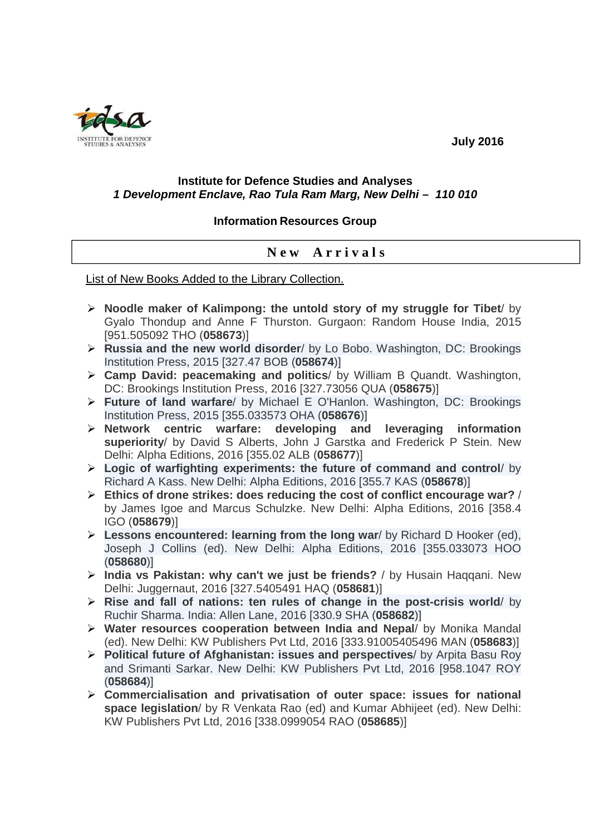

### **July 2016**

#### **Institute for Defence Studies and Analyses 1 Development Enclave, Rao Tula Ram Marg, New Delhi – 110 010**

#### **Information Resources Group**

## **N e w A r r i v a l s**

List of New Books Added to the Library Collection.

- **Noodle maker of Kalimpong: the untold story of my struggle for Tibet**/ by Gyalo Thondup and Anne F Thurston. Gurgaon: Random House India, 2015 [951.505092 THO (**058673**)]
- **Russia and the new world disorder**/ by Lo Bobo. Washington, DC: Brookings Institution Press, 2015 [327.47 BOB (**058674**)]
- **Camp David: peacemaking and politics**/ by William B Quandt. Washington, DC: Brookings Institution Press, 2016 [327.73056 QUA (**058675**)]
- **Future of land warfare**/ by Michael E O'Hanlon. Washington, DC: Brookings Institution Press, 2015 [355.033573 OHA (**058676**)]
- **Network centric warfare: developing and leveraging information superiority**/ by David S Alberts, John J Garstka and Frederick P Stein. New Delhi: Alpha Editions, 2016 [355.02 ALB (**058677**)]
- **Logic of warfighting experiments: the future of command and control**/ by Richard A Kass. New Delhi: Alpha Editions, 2016 [355.7 KAS (**058678**)]
- **Ethics of drone strikes: does reducing the cost of conflict encourage war?** / by James Igoe and Marcus Schulzke. New Delhi: Alpha Editions, 2016 [358.4 IGO (**058679**)]
- **Lessons encountered: learning from the long war**/ by Richard D Hooker (ed), Joseph J Collins (ed). New Delhi: Alpha Editions, 2016 [355.033073 HOO (**058680**)]
- **India vs Pakistan: why can't we just be friends?** / by Husain Haqqani. New Delhi: Juggernaut, 2016 [327.5405491 HAQ (**058681**)]
- **Rise and fall of nations: ten rules of change in the post-crisis world**/ by Ruchir Sharma. India: Allen Lane, 2016 [330.9 SHA (**058682**)]
- **Water resources cooperation between India and Nepal**/ by Monika Mandal (ed). New Delhi: KW Publishers Pvt Ltd, 2016 [333.91005405496 MAN (**058683**)]
- **Political future of Afghanistan: issues and perspectives**/ by Arpita Basu Roy and Srimanti Sarkar. New Delhi: KW Publishers Pvt Ltd, 2016 [958.1047 ROY (**058684**)]
- **Commercialisation and privatisation of outer space: issues for national space legislation**/ by R Venkata Rao (ed) and Kumar Abhijeet (ed). New Delhi: KW Publishers Pvt Ltd, 2016 [338.0999054 RAO (**058685**)]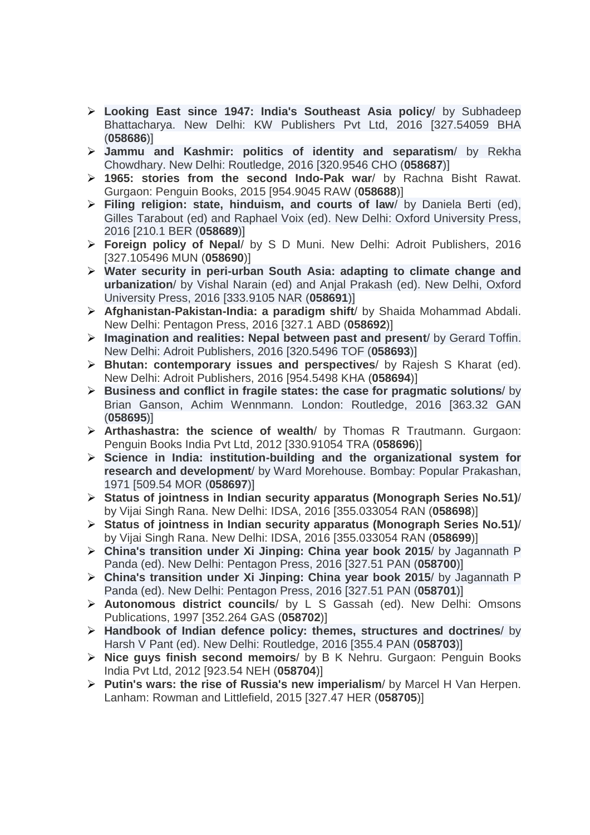- **Looking East since 1947: India's Southeast Asia policy**/ by Subhadeep Bhattacharya. New Delhi: KW Publishers Pvt Ltd, 2016 [327.54059 BHA (**058686**)]
- **Jammu and Kashmir: politics of identity and separatism**/ by Rekha Chowdhary. New Delhi: Routledge, 2016 [320.9546 CHO (**058687**)]
- **1965: stories from the second Indo-Pak war**/ by Rachna Bisht Rawat. Gurgaon: Penguin Books, 2015 [954.9045 RAW (**058688**)]
- **Filing religion: state, hinduism, and courts of law**/ by Daniela Berti (ed), Gilles Tarabout (ed) and Raphael Voix (ed). New Delhi: Oxford University Press, 2016 [210.1 BER (**058689**)]
- **Foreign policy of Nepal**/ by S D Muni. New Delhi: Adroit Publishers, 2016 [327.105496 MUN (**058690**)]
- **Water security in peri-urban South Asia: adapting to climate change and urbanization**/ by Vishal Narain (ed) and Anjal Prakash (ed). New Delhi, Oxford University Press, 2016 [333.9105 NAR (**058691**)]
- **Afghanistan-Pakistan-India: a paradigm shift**/ by Shaida Mohammad Abdali. New Delhi: Pentagon Press, 2016 [327.1 ABD (**058692**)]
- **Imagination and realities: Nepal between past and present**/ by Gerard Toffin. New Delhi: Adroit Publishers, 2016 [320.5496 TOF (**058693**)]
- **Bhutan: contemporary issues and perspectives**/ by Rajesh S Kharat (ed). New Delhi: Adroit Publishers, 2016 [954.5498 KHA (**058694**)]
- **Business and conflict in fragile states: the case for pragmatic solutions**/ by Brian Ganson, Achim Wennmann. London: Routledge, 2016 [363.32 GAN (**058695**)]
- **Arthashastra: the science of wealth**/ by Thomas R Trautmann. Gurgaon: Penguin Books India Pvt Ltd, 2012 [330.91054 TRA (**058696**)]
- **Science in India: institution-building and the organizational system for research and development**/ by Ward Morehouse. Bombay: Popular Prakashan, 1971 [509.54 MOR (**058697**)]
- **Status of jointness in Indian security apparatus (Monograph Series No.51)**/ by Vijai Singh Rana. New Delhi: IDSA, 2016 [355.033054 RAN (**058698**)]
- **Status of jointness in Indian security apparatus (Monograph Series No.51)**/ by Vijai Singh Rana. New Delhi: IDSA, 2016 [355.033054 RAN (**058699**)]
- **China's transition under Xi Jinping: China year book 2015**/ by Jagannath P Panda (ed). New Delhi: Pentagon Press, 2016 [327.51 PAN (**058700**)]
- **China's transition under Xi Jinping: China year book 2015**/ by Jagannath P Panda (ed). New Delhi: Pentagon Press, 2016 [327.51 PAN (**058701**)]
- **Autonomous district councils**/ by L S Gassah (ed). New Delhi: Omsons Publications, 1997 [352.264 GAS (**058702**)]
- **Handbook of Indian defence policy: themes, structures and doctrines**/ by Harsh V Pant (ed). New Delhi: Routledge, 2016 [355.4 PAN (**058703**)]
- **Nice guys finish second memoirs**/ by B K Nehru. Gurgaon: Penguin Books India Pvt Ltd, 2012 [923.54 NEH (**058704**)]
- **Putin's wars: the rise of Russia's new imperialism**/ by Marcel H Van Herpen. Lanham: Rowman and Littlefield, 2015 [327.47 HER (**058705**)]